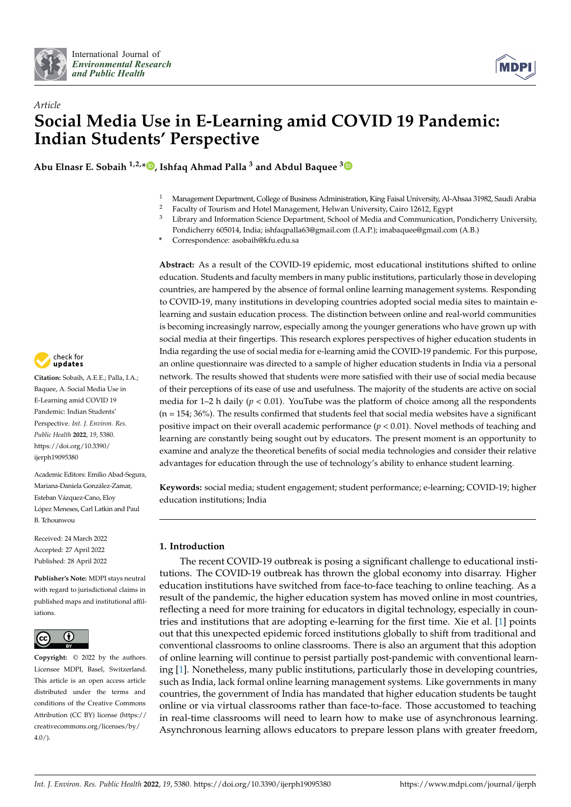



# *Article* **Social Media Use in E-Learning amid COVID 19 Pandemic: Indian Students' Perspective**

**Abu Elnasr E. Sobaih 1,2,\* [,](https://orcid.org/0000-0002-2730-689X) Ishfaq Ahmad Palla <sup>3</sup> and Abdul Baquee [3](https://orcid.org/0000-0002-6087-1241)**

- <sup>1</sup> Management Department, College of Business Administration, King Faisal University, Al-Ahsaa 31982, Saudi Arabia
- <sup>2</sup> Faculty of Tourism and Hotel Management, Helwan University, Cairo 12612, Egypt<br><sup>3</sup> Library and Information Science Department, School of Modia and Communication
- Library and Information Science Department, School of Media and Communication, Pondicherry University, Pondicherry 605014, India; ishfaqpalla63@gmail.com (I.A.P.); imabaquee@gmail.com (A.B.)
- **\*** Correspondence: asobaih@kfu.edu.sa

**Abstract:** As a result of the COVID-19 epidemic, most educational institutions shifted to online education. Students and faculty members in many public institutions, particularly those in developing countries, are hampered by the absence of formal online learning management systems. Responding to COVID-19, many institutions in developing countries adopted social media sites to maintain elearning and sustain education process. The distinction between online and real-world communities is becoming increasingly narrow, especially among the younger generations who have grown up with social media at their fingertips. This research explores perspectives of higher education students in India regarding the use of social media for e-learning amid the COVID-19 pandemic. For this purpose, an online questionnaire was directed to a sample of higher education students in India via a personal network. The results showed that students were more satisfied with their use of social media because of their perceptions of its ease of use and usefulness. The majority of the students are active on social media for  $1-2$  h daily ( $p < 0.01$ ). YouTube was the platform of choice among all the respondents  $(n = 154; 36%)$ . The results confirmed that students feel that social media websites have a significant positive impact on their overall academic performance (*p* < 0.01). Novel methods of teaching and learning are constantly being sought out by educators. The present moment is an opportunity to examine and analyze the theoretical benefits of social media technologies and consider their relative advantages for education through the use of technology's ability to enhance student learning.

**Keywords:** social media; student engagement; student performance; e-learning; COVID-19; higher education institutions; India

### **1. Introduction**

The recent COVID-19 outbreak is posing a significant challenge to educational institutions. The COVID-19 outbreak has thrown the global economy into disarray. Higher education institutions have switched from face-to-face teaching to online teaching. As a result of the pandemic, the higher education system has moved online in most countries, reflecting a need for more training for educators in digital technology, especially in countries and institutions that are adopting e-learning for the first time. Xie et al. [\[1\]](#page-9-0) points out that this unexpected epidemic forced institutions globally to shift from traditional and conventional classrooms to online classrooms. There is also an argument that this adoption of online learning will continue to persist partially post-pandemic with conventional learning [\[1\]](#page-9-0). Nonetheless, many public institutions, particularly those in developing countries, such as India, lack formal online learning management systems. Like governments in many countries, the government of India has mandated that higher education students be taught online or via virtual classrooms rather than face-to-face. Those accustomed to teaching in real-time classrooms will need to learn how to make use of asynchronous learning. Asynchronous learning allows educators to prepare lesson plans with greater freedom,



**Citation:** Sobaih, A.E.E.; Palla, I.A.; Baquee, A. Social Media Use in E-Learning amid COVID 19 Pandemic: Indian Students' Perspective. *Int. J. Environ. Res. Public Health* **2022**, *19*, 5380. [https://doi.org/10.3390/](https://doi.org/10.3390/ijerph19095380) [ijerph19095380](https://doi.org/10.3390/ijerph19095380)

Academic Editors: Emilio Abad-Segura, Mariana-Daniela González-Zamar, Esteban Vázquez-Cano, Eloy López Meneses, Carl Latkin and Paul B. Tchounwou

Received: 24 March 2022 Accepted: 27 April 2022 Published: 28 April 2022

**Publisher's Note:** MDPI stays neutral with regard to jurisdictional claims in published maps and institutional affiliations.



**Copyright:** © 2022 by the authors. Licensee MDPI, Basel, Switzerland. This article is an open access article distributed under the terms and conditions of the Creative Commons Attribution (CC BY) license [\(https://](https://creativecommons.org/licenses/by/4.0/) [creativecommons.org/licenses/by/](https://creativecommons.org/licenses/by/4.0/)  $4.0/$ ).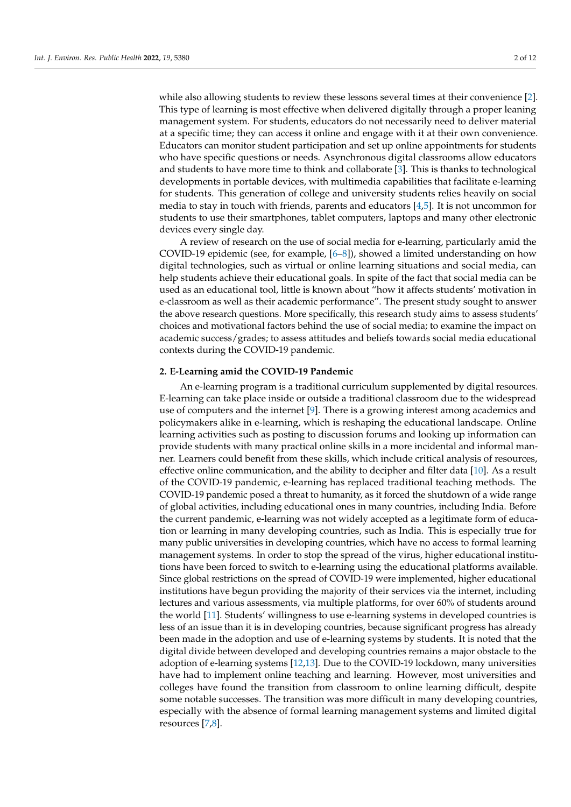while also allowing students to review these lessons several times at their convenience [\[2\]](#page-9-1). This type of learning is most effective when delivered digitally through a proper leaning management system. For students, educators do not necessarily need to deliver material at a specific time; they can access it online and engage with it at their own convenience. Educators can monitor student participation and set up online appointments for students who have specific questions or needs. Asynchronous digital classrooms allow educators and students to have more time to think and collaborate [\[3\]](#page-9-2). This is thanks to technological developments in portable devices, with multimedia capabilities that facilitate e-learning for students. This generation of college and university students relies heavily on social media to stay in touch with friends, parents and educators [\[4](#page-9-3)[,5\]](#page-9-4). It is not uncommon for students to use their smartphones, tablet computers, laptops and many other electronic devices every single day.

A review of research on the use of social media for e-learning, particularly amid the COVID-19 epidemic (see, for example, [\[6](#page-9-5)[–8\]](#page-9-6)), showed a limited understanding on how digital technologies, such as virtual or online learning situations and social media, can help students achieve their educational goals. In spite of the fact that social media can be used as an educational tool, little is known about "how it affects students' motivation in e-classroom as well as their academic performance". The present study sought to answer the above research questions. More specifically, this research study aims to assess students' choices and motivational factors behind the use of social media; to examine the impact on academic success/grades; to assess attitudes and beliefs towards social media educational contexts during the COVID-19 pandemic.

#### **2. E-Learning amid the COVID-19 Pandemic**

An e-learning program is a traditional curriculum supplemented by digital resources. E-learning can take place inside or outside a traditional classroom due to the widespread use of computers and the internet [\[9\]](#page-9-7). There is a growing interest among academics and policymakers alike in e-learning, which is reshaping the educational landscape. Online learning activities such as posting to discussion forums and looking up information can provide students with many practical online skills in a more incidental and informal manner. Learners could benefit from these skills, which include critical analysis of resources, effective online communication, and the ability to decipher and filter data [\[10\]](#page-9-8). As a result of the COVID-19 pandemic, e-learning has replaced traditional teaching methods. The COVID-19 pandemic posed a threat to humanity, as it forced the shutdown of a wide range of global activities, including educational ones in many countries, including India. Before the current pandemic, e-learning was not widely accepted as a legitimate form of education or learning in many developing countries, such as India. This is especially true for many public universities in developing countries, which have no access to formal learning management systems. In order to stop the spread of the virus, higher educational institutions have been forced to switch to e-learning using the educational platforms available. Since global restrictions on the spread of COVID-19 were implemented, higher educational institutions have begun providing the majority of their services via the internet, including lectures and various assessments, via multiple platforms, for over 60% of students around the world [\[11\]](#page-9-9). Students' willingness to use e-learning systems in developed countries is less of an issue than it is in developing countries, because significant progress has already been made in the adoption and use of e-learning systems by students. It is noted that the digital divide between developed and developing countries remains a major obstacle to the adoption of e-learning systems [\[12](#page-10-0)[,13\]](#page-10-1). Due to the COVID-19 lockdown, many universities have had to implement online teaching and learning. However, most universities and colleges have found the transition from classroom to online learning difficult, despite some notable successes. The transition was more difficult in many developing countries, especially with the absence of formal learning management systems and limited digital resources [\[7,](#page-9-10)[8\]](#page-9-6).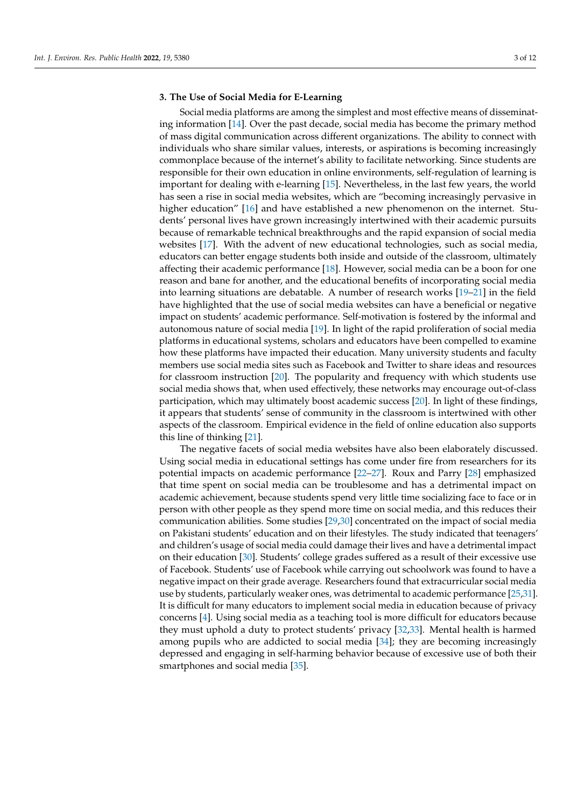#### **3. The Use of Social Media for E-Learning**

Social media platforms are among the simplest and most effective means of disseminating information [\[14\]](#page-10-2). Over the past decade, social media has become the primary method of mass digital communication across different organizations. The ability to connect with individuals who share similar values, interests, or aspirations is becoming increasingly commonplace because of the internet's ability to facilitate networking. Since students are responsible for their own education in online environments, self-regulation of learning is important for dealing with e-learning [\[15\]](#page-10-3). Nevertheless, in the last few years, the world has seen a rise in social media websites, which are "becoming increasingly pervasive in higher education" [\[16\]](#page-10-4) and have established a new phenomenon on the internet. Students' personal lives have grown increasingly intertwined with their academic pursuits because of remarkable technical breakthroughs and the rapid expansion of social media websites [\[17\]](#page-10-5). With the advent of new educational technologies, such as social media, educators can better engage students both inside and outside of the classroom, ultimately affecting their academic performance [\[18\]](#page-10-6). However, social media can be a boon for one reason and bane for another, and the educational benefits of incorporating social media into learning situations are debatable. A number of research works [\[19–](#page-10-7)[21\]](#page-10-8) in the field have highlighted that the use of social media websites can have a beneficial or negative impact on students' academic performance. Self-motivation is fostered by the informal and autonomous nature of social media [\[19\]](#page-10-7). In light of the rapid proliferation of social media platforms in educational systems, scholars and educators have been compelled to examine how these platforms have impacted their education. Many university students and faculty members use social media sites such as Facebook and Twitter to share ideas and resources for classroom instruction [\[20\]](#page-10-9). The popularity and frequency with which students use social media shows that, when used effectively, these networks may encourage out-of-class participation, which may ultimately boost academic success [\[20\]](#page-10-9). In light of these findings, it appears that students' sense of community in the classroom is intertwined with other aspects of the classroom. Empirical evidence in the field of online education also supports this line of thinking [\[21\]](#page-10-8).

The negative facets of social media websites have also been elaborately discussed. Using social media in educational settings has come under fire from researchers for its potential impacts on academic performance [\[22](#page-10-10)[–27\]](#page-10-11). Roux and Parry [\[28\]](#page-10-12) emphasized that time spent on social media can be troublesome and has a detrimental impact on academic achievement, because students spend very little time socializing face to face or in person with other people as they spend more time on social media, and this reduces their communication abilities. Some studies [\[29,](#page-10-13)[30\]](#page-10-14) concentrated on the impact of social media on Pakistani students' education and on their lifestyles. The study indicated that teenagers' and children's usage of social media could damage their lives and have a detrimental impact on their education [\[30\]](#page-10-14). Students' college grades suffered as a result of their excessive use of Facebook. Students' use of Facebook while carrying out schoolwork was found to have a negative impact on their grade average. Researchers found that extracurricular social media use by students, particularly weaker ones, was detrimental to academic performance [\[25](#page-10-15)[,31\]](#page-10-16). It is difficult for many educators to implement social media in education because of privacy concerns [\[4\]](#page-9-3). Using social media as a teaching tool is more difficult for educators because they must uphold a duty to protect students' privacy [\[32,](#page-10-17)[33\]](#page-10-18). Mental health is harmed among pupils who are addicted to social media [\[34\]](#page-10-19); they are becoming increasingly depressed and engaging in self-harming behavior because of excessive use of both their smartphones and social media [\[35\]](#page-10-20).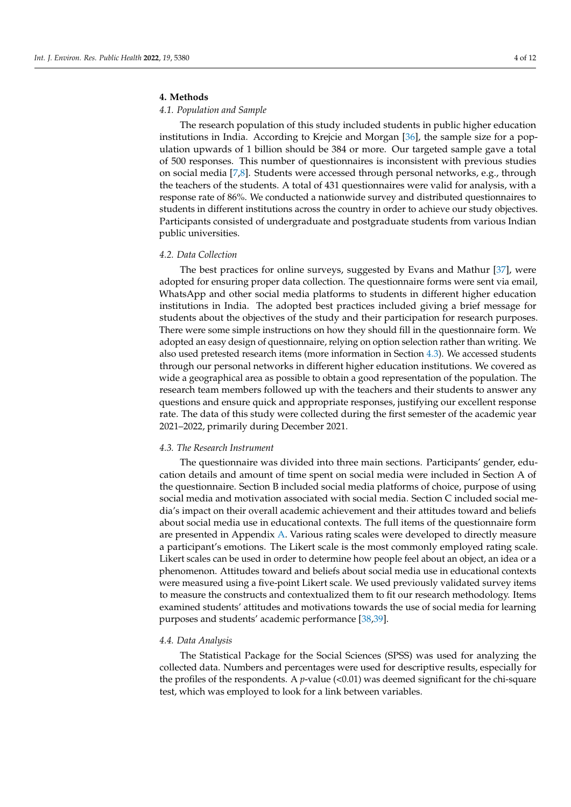#### **4. Methods**

#### *4.1. Population and Sample*

The research population of this study included students in public higher education institutions in India. According to Krejcie and Morgan [\[36\]](#page-10-21), the sample size for a population upwards of 1 billion should be 384 or more. Our targeted sample gave a total of 500 responses. This number of questionnaires is inconsistent with previous studies on social media [\[7,](#page-9-10)[8\]](#page-9-6). Students were accessed through personal networks, e.g., through the teachers of the students. A total of 431 questionnaires were valid for analysis, with a response rate of 86%. We conducted a nationwide survey and distributed questionnaires to students in different institutions across the country in order to achieve our study objectives. Participants consisted of undergraduate and postgraduate students from various Indian public universities.

#### *4.2. Data Collection*

The best practices for online surveys, suggested by Evans and Mathur [\[37\]](#page-10-22), were adopted for ensuring proper data collection. The questionnaire forms were sent via email, WhatsApp and other social media platforms to students in different higher education institutions in India. The adopted best practices included giving a brief message for students about the objectives of the study and their participation for research purposes. There were some simple instructions on how they should fill in the questionnaire form. We adopted an easy design of questionnaire, relying on option selection rather than writing. We also used pretested research items (more information in Section [4.3\)](#page-3-0). We accessed students through our personal networks in different higher education institutions. We covered as wide a geographical area as possible to obtain a good representation of the population. The research team members followed up with the teachers and their students to answer any questions and ensure quick and appropriate responses, justifying our excellent response rate. The data of this study were collected during the first semester of the academic year 2021–2022, primarily during December 2021.

#### <span id="page-3-0"></span>*4.3. The Research Instrument*

The questionnaire was divided into three main sections. Participants' gender, education details and amount of time spent on social media were included in Section A of the questionnaire. Section B included social media platforms of choice, purpose of using social media and motivation associated with social media. Section C included social media's impact on their overall academic achievement and their attitudes toward and beliefs about social media use in educational contexts. The full items of the questionnaire form are presented in Appendix [A.](#page-8-0) Various rating scales were developed to directly measure a participant's emotions. The Likert scale is the most commonly employed rating scale. Likert scales can be used in order to determine how people feel about an object, an idea or a phenomenon. Attitudes toward and beliefs about social media use in educational contexts were measured using a five-point Likert scale. We used previously validated survey items to measure the constructs and contextualized them to fit our research methodology. Items examined students' attitudes and motivations towards the use of social media for learning purposes and students' academic performance [\[38,](#page-10-23)[39\]](#page-10-24).

#### *4.4. Data Analysis*

The Statistical Package for the Social Sciences (SPSS) was used for analyzing the collected data. Numbers and percentages were used for descriptive results, especially for the profiles of the respondents. A *p*-value (<0.01) was deemed significant for the chi-square test, which was employed to look for a link between variables.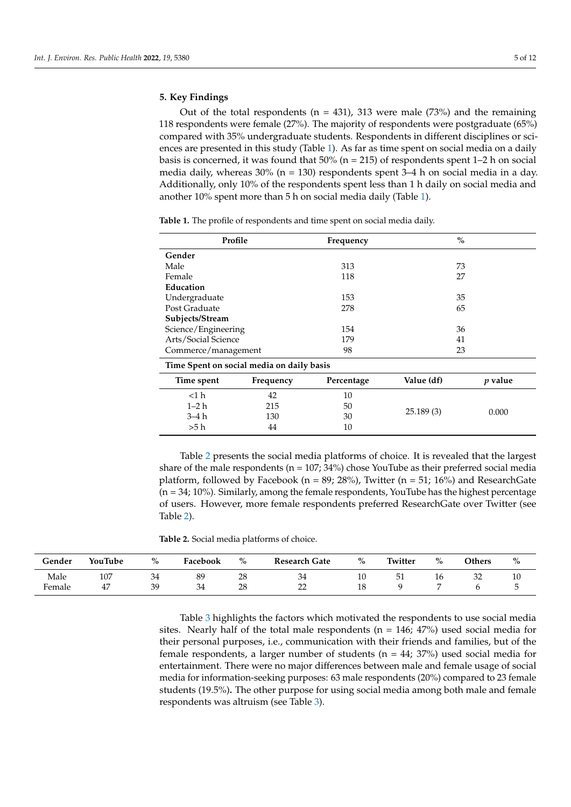#### **5. Key Findings**

Out of the total respondents ( $n = 431$ ), 313 were male (73%) and the remaining 118 respondents were female (27%). The majority of respondents were postgraduate (65%) compared with 35% undergraduate students. Respondents in different disciplines or sciences are presented in this study (Table [1\)](#page-4-0). As far as time spent on social media on a daily basis is concerned, it was found that  $50\%$  (n = 215) of respondents spent 1–2 h on social media daily, whereas  $30\%$  (n = 130) respondents spent 3–4 h on social media in a day. Additionally, only 10% of the respondents spent less than 1 h daily on social media and another 10% spent more than 5 h on social media daily (Table [1\)](#page-4-0).

| Profile                                   |           | Frequency  | $\%$       |           |  |
|-------------------------------------------|-----------|------------|------------|-----------|--|
| Gender                                    |           |            |            |           |  |
| Male                                      |           | 313        | 73         |           |  |
| Female                                    |           | 118        | 27         |           |  |
| Education                                 |           |            |            |           |  |
| Undergraduate                             |           | 153        | 35         |           |  |
| Post Graduate                             |           | 278        | 65         |           |  |
| Subjects/Stream                           |           |            |            |           |  |
| Science/Engineering                       |           | 154        | 36         |           |  |
| Arts/Social Science                       |           | 179        | 41         |           |  |
| Commerce/management                       |           | 98         | 23         |           |  |
| Time Spent on social media on daily basis |           |            |            |           |  |
| Time spent                                | Frequency | Percentage | Value (df) | $p$ value |  |
| $<$ 1 $h$                                 | 42        | 10         |            |           |  |
| $1 - 2h$                                  | 215       | 50         |            |           |  |
| $3-4h$                                    | 130       | 30         | 25.189(3)  | 0.000     |  |
| >5h                                       | 44        | 10         |            |           |  |

<span id="page-4-0"></span>**Table 1.** The profile of respondents and time spent on social media daily.

Table [2](#page-4-1) presents the social media platforms of choice. It is revealed that the largest share of the male respondents ( $n = 107$ ; 34%) chose YouTube as their preferred social media platform, followed by Facebook (n = 89; 28%), Twitter (n = 51; 16%) and ResearchGate  $(n = 34; 10%)$ . Similarly, among the female respondents, YouTube has the highest percentage of users. However, more female respondents preferred ResearchGate over Twitter (see Table [2\)](#page-4-1).

<span id="page-4-1"></span>**Table 2.** Social media platforms of choice.

| Gender | YouTube | $\%$ | Facebook | $\%$ | <b>Research Gate</b>    | $\%$     | Twitter | $\%$ | <b>Others</b> | $\%$ |
|--------|---------|------|----------|------|-------------------------|----------|---------|------|---------------|------|
| Male   | 107     | 34   | 89       | 28   | Э±                      | ⊥⊾       | 51      | 16   | 32            | 10   |
| Female | 47      | 39   | 34       | 28   | $\cap$<br>$- -$<br>---- | 10<br>ᆂᇦ |         |      |               |      |

Table [3](#page-5-0) highlights the factors which motivated the respondents to use social media sites. Nearly half of the total male respondents ( $n = 146$ ;  $47\%$ ) used social media for their personal purposes, i.e., communication with their friends and families, but of the female respondents, a larger number of students ( $n = 44$ ; 37%) used social media for entertainment. There were no major differences between male and female usage of social media for information-seeking purposes: 63 male respondents (20%) compared to 23 female students (19.5%)**.** The other purpose for using social media among both male and female respondents was altruism (see Table [3\)](#page-5-0).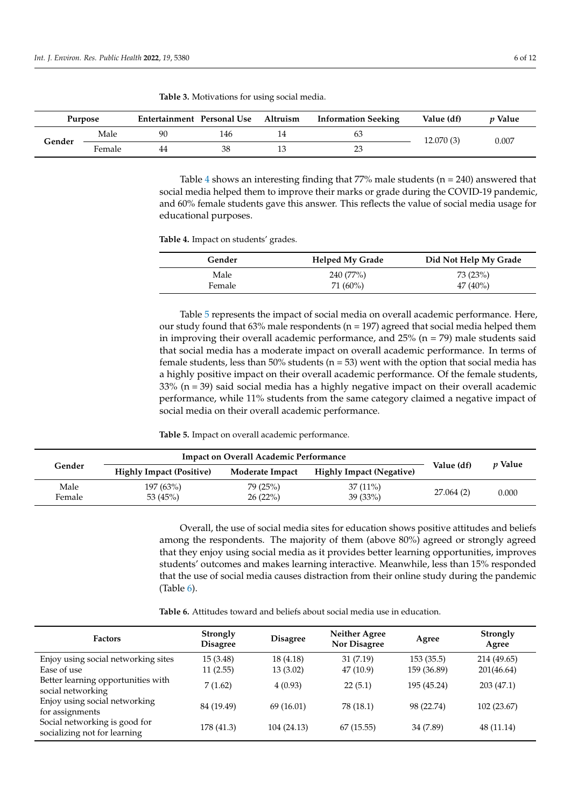|        | Purpose | Entertainment Personal Use |     | Altruism | <b>Information Seeking</b> | Value (df) | <i>v</i> Value |
|--------|---------|----------------------------|-----|----------|----------------------------|------------|----------------|
| Gender | Male    | 90                         | 146 |          | 63                         | 12.070 (3) | 0.007          |
|        | Female  | 44                         | 38  |          | 23                         |            |                |

<span id="page-5-0"></span>**Table 3.** Motivations for using social media.

Table [4](#page-5-1) shows an interesting finding that  $77\%$  male students (n = 240) answered that social media helped them to improve their marks or grade during the COVID-19 pandemic, and 60% female students gave this answer. This reflects the value of social media usage for educational purposes.

<span id="page-5-1"></span>**Table 4.** Impact on students' grades.

| Gender | <b>Helped My Grade</b> | Did Not Help My Grade |
|--------|------------------------|-----------------------|
| Male   | 240 (77%)              | 73 (23%)              |
| Female | 71 (60%)               | $47(40\%)$            |

Table [5](#page-5-2) represents the impact of social media on overall academic performance. Here, our study found that  $63\%$  male respondents ( $n = 197$ ) agreed that social media helped them in improving their overall academic performance, and  $25%$  (n = 79) male students said that social media has a moderate impact on overall academic performance. In terms of female students, less than 50% students ( $n = 53$ ) went with the option that social media has a highly positive impact on their overall academic performance. Of the female students,  $33\%$  (n = 39) said social media has a highly negative impact on their overall academic performance, while 11% students from the same category claimed a negative impact of social media on their overall academic performance.

<span id="page-5-2"></span>**Table 5.** Impact on overall academic performance.

|                |                                 | <b>Impact on Overall Academic Performance</b> |                                 |            |                |
|----------------|---------------------------------|-----------------------------------------------|---------------------------------|------------|----------------|
| Gender         | <b>Highly Impact (Positive)</b> | Moderate Impact                               | <b>Highly Impact (Negative)</b> | Value (df) | <i>v</i> Value |
| Male<br>Female | 197 (63%)<br>53 $(45%)$         | 79(25%)<br>26(22%)                            | $37(11\%)$<br>39(33%)           | 27.064 (2) | 0.000          |

Overall, the use of social media sites for education shows positive attitudes and beliefs among the respondents. The majority of them (above 80%) agreed or strongly agreed that they enjoy using social media as it provides better learning opportunities, improves students' outcomes and makes learning interactive. Meanwhile, less than 15% responded that the use of social media causes distraction from their online study during the pandemic  $(Table 6)$  $(Table 6)$ .

**Table 6.** Attitudes toward and beliefs about social media use in education.

| <b>Factors</b>                                                | Strongly<br><b>Disagree</b> | <b>Disagree</b> | <b>Neither Agree</b><br><b>Nor Disagree</b> | Agree       | <b>Strongly</b><br>Agree |
|---------------------------------------------------------------|-----------------------------|-----------------|---------------------------------------------|-------------|--------------------------|
| Enjoy using social networking sites                           | 15 (3.48)                   | 18 (4.18)       | 31(7.19)                                    | 153(35.5)   | 214 (49.65)              |
| Ease of use                                                   | 11(2.55)                    | 13(3.02)        | 47(10.9)                                    | 159 (36.89) | 201(46.64)               |
| Better learning opportunities with<br>social networking       | 7(1.62)                     | 4(0.93)         | 22(5.1)                                     | 195 (45.24) | 203(47.1)                |
| Enjoy using social networking<br>for assignments              | 84 (19.49)                  | 69 (16.01)      | 78 (18.1)                                   | 98 (22.74)  | 102 (23.67)              |
| Social networking is good for<br>socializing not for learning | 178 (41.3)                  | 104 (24.13)     | 67(15.55)                                   | 34 (7.89)   | 48 (11.14)               |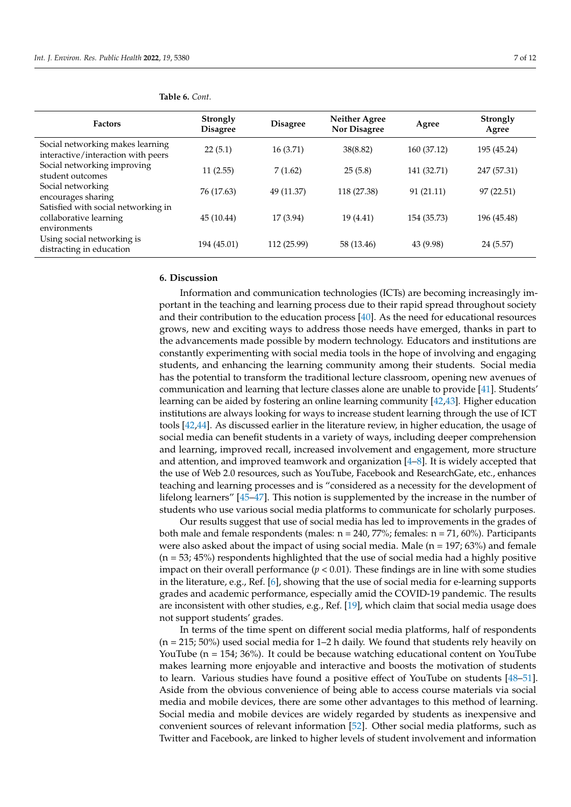<span id="page-6-0"></span>

|  | Table 6. Cont. |
|--|----------------|
|--|----------------|

| <b>Factors</b>                                                                | <b>Strongly</b><br><b>Disagree</b> | <b>Disagree</b> | <b>Neither Agree</b><br>Nor Disagree | Agree       | <b>Strongly</b><br>Agree |
|-------------------------------------------------------------------------------|------------------------------------|-----------------|--------------------------------------|-------------|--------------------------|
| Social networking makes learning<br>interactive/interaction with peers        | 22(5.1)                            | 16 (3.71)       | 38(8.82)                             | 160 (37.12) | 195 (45.24)              |
| Social networking improving<br>student outcomes                               | 11(2.55)                           | 7(1.62)         | 25(5.8)                              | 141 (32.71) | 247 (57.31)              |
| Social networking<br>encourages sharing                                       | 76 (17.63)                         | 49 (11.37)      | 118 (27.38)                          | 91(21.11)   | 97 (22.51)               |
| Satisfied with social networking in<br>collaborative learning<br>environments | 45 (10.44)                         | 17 (3.94)       | 19 (4.41)                            | 154 (35.73) | 196 (45.48)              |
| Using social networking is<br>distracting in education                        | 194 (45.01)                        | 112 (25.99)     | 58 (13.46)                           | 43 (9.98)   | 24 (5.57)                |

#### **6. Discussion**

Information and communication technologies (ICTs) are becoming increasingly important in the teaching and learning process due to their rapid spread throughout society and their contribution to the education process [\[40\]](#page-10-25). As the need for educational resources grows, new and exciting ways to address those needs have emerged, thanks in part to the advancements made possible by modern technology. Educators and institutions are constantly experimenting with social media tools in the hope of involving and engaging students, and enhancing the learning community among their students. Social media has the potential to transform the traditional lecture classroom, opening new avenues of communication and learning that lecture classes alone are unable to provide [\[41\]](#page-10-26). Students' learning can be aided by fostering an online learning community [\[42,](#page-10-27)[43\]](#page-11-0). Higher education institutions are always looking for ways to increase student learning through the use of ICT tools [\[42,](#page-10-27)[44\]](#page-11-1). As discussed earlier in the literature review, in higher education, the usage of social media can benefit students in a variety of ways, including deeper comprehension and learning, improved recall, increased involvement and engagement, more structure and attention, and improved teamwork and organization [\[4–](#page-9-3)[8\]](#page-9-6). It is widely accepted that the use of Web 2.0 resources, such as YouTube, Facebook and ResearchGate, etc., enhances teaching and learning processes and is "considered as a necessity for the development of lifelong learners" [\[45](#page-11-2)[–47\]](#page-11-3). This notion is supplemented by the increase in the number of students who use various social media platforms to communicate for scholarly purposes.

Our results suggest that use of social media has led to improvements in the grades of both male and female respondents (males:  $n = 240$ , 77%; females:  $n = 71$ , 60%). Participants were also asked about the impact of using social media. Male ( $n = 197$ ; 63%) and female  $(n = 53; 45%)$  respondents highlighted that the use of social media had a highly positive impact on their overall performance  $(p < 0.01)$ . These findings are in line with some studies in the literature, e.g., Ref. [\[6\]](#page-9-5), showing that the use of social media for e-learning supports grades and academic performance, especially amid the COVID-19 pandemic. The results are inconsistent with other studies, e.g., Ref. [\[19\]](#page-10-7), which claim that social media usage does not support students' grades.

In terms of the time spent on different social media platforms, half of respondents (n = 215; 50%) used social media for 1–2 h daily. We found that students rely heavily on YouTube (n = 154; 36%). It could be because watching educational content on YouTube makes learning more enjoyable and interactive and boosts the motivation of students to learn. Various studies have found a positive effect of YouTube on students [\[48](#page-11-4)[–51\]](#page-11-5). Aside from the obvious convenience of being able to access course materials via social media and mobile devices, there are some other advantages to this method of learning. Social media and mobile devices are widely regarded by students as inexpensive and convenient sources of relevant information [\[52\]](#page-11-6). Other social media platforms, such as Twitter and Facebook, are linked to higher levels of student involvement and information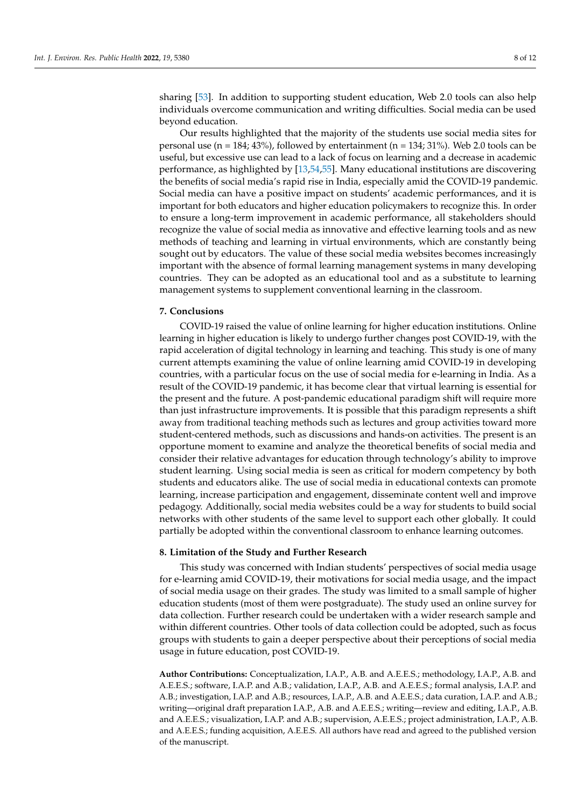sharing [\[53\]](#page-11-7). In addition to supporting student education, Web 2.0 tools can also help individuals overcome communication and writing difficulties. Social media can be used beyond education.

Our results highlighted that the majority of the students use social media sites for personal use (n = 184; 43%), followed by entertainment (n = 134; 31%). Web 2.0 tools can be useful, but excessive use can lead to a lack of focus on learning and a decrease in academic performance, as highlighted by [\[13](#page-10-1)[,54](#page-11-8)[,55\]](#page-11-9). Many educational institutions are discovering the benefits of social media's rapid rise in India, especially amid the COVID-19 pandemic. Social media can have a positive impact on students' academic performances, and it is important for both educators and higher education policymakers to recognize this. In order to ensure a long-term improvement in academic performance, all stakeholders should recognize the value of social media as innovative and effective learning tools and as new methods of teaching and learning in virtual environments, which are constantly being sought out by educators. The value of these social media websites becomes increasingly important with the absence of formal learning management systems in many developing countries. They can be adopted as an educational tool and as a substitute to learning management systems to supplement conventional learning in the classroom.

#### **7. Conclusions**

COVID-19 raised the value of online learning for higher education institutions. Online learning in higher education is likely to undergo further changes post COVID-19, with the rapid acceleration of digital technology in learning and teaching. This study is one of many current attempts examining the value of online learning amid COVID-19 in developing countries, with a particular focus on the use of social media for e-learning in India. As a result of the COVID-19 pandemic, it has become clear that virtual learning is essential for the present and the future. A post-pandemic educational paradigm shift will require more than just infrastructure improvements. It is possible that this paradigm represents a shift away from traditional teaching methods such as lectures and group activities toward more student-centered methods, such as discussions and hands-on activities. The present is an opportune moment to examine and analyze the theoretical benefits of social media and consider their relative advantages for education through technology's ability to improve student learning. Using social media is seen as critical for modern competency by both students and educators alike. The use of social media in educational contexts can promote learning, increase participation and engagement, disseminate content well and improve pedagogy. Additionally, social media websites could be a way for students to build social networks with other students of the same level to support each other globally. It could partially be adopted within the conventional classroom to enhance learning outcomes.

#### **8. Limitation of the Study and Further Research**

This study was concerned with Indian students' perspectives of social media usage for e-learning amid COVID-19, their motivations for social media usage, and the impact of social media usage on their grades. The study was limited to a small sample of higher education students (most of them were postgraduate). The study used an online survey for data collection. Further research could be undertaken with a wider research sample and within different countries. Other tools of data collection could be adopted, such as focus groups with students to gain a deeper perspective about their perceptions of social media usage in future education, post COVID-19.

**Author Contributions:** Conceptualization, I.A.P., A.B. and A.E.E.S.; methodology, I.A.P., A.B. and A.E.E.S.; software, I.A.P. and A.B.; validation, I.A.P., A.B. and A.E.E.S.; formal analysis, I.A.P. and A.B.; investigation, I.A.P. and A.B.; resources, I.A.P., A.B. and A.E.E.S.; data curation, I.A.P. and A.B.; writing—original draft preparation I.A.P., A.B. and A.E.E.S.; writing—review and editing, I.A.P., A.B. and A.E.E.S.; visualization, I.A.P. and A.B.; supervision, A.E.E.S.; project administration, I.A.P., A.B. and A.E.E.S.; funding acquisition, A.E.E.S. All authors have read and agreed to the published version of the manuscript.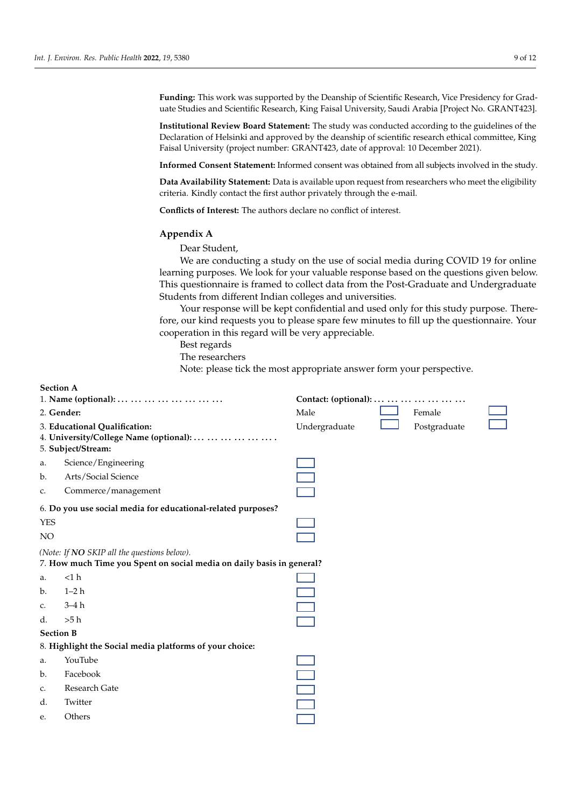c. Altruism

**Funding:** This work was supported by the Deanship of Scientific Research, Vice Presidency for Graduate Studies and Scientific Research, King Faisal University, Saudi Arabia [Project No. GRANT423].

**Institutional Review Board Statement:** The study was conducted according to the guidelines of the Declaration of Helsinki and approved by the deanship of scientific research ethical committee, King Faisal University (project number: GRANT423, date of approval: 10 December 2021).

**Informed Consent Statement:** Informed consent was obtained from all subjects involved in the study.

Data Availability Statement: Data is available upon request from researchers who meet the eligibility criteria. Kindly contact the first author privately through the e-mail.

<span id="page-8-0"></span>**Conflicts of Interest:** The authors declare no conflict of interest.

#### Appendix A *Internation. Res. Public Health A*

Dear Student, *Deal Student,* 

We are conducting a study on the use of social media during COVID 19 for online we are conducting a study on the use of social media during COVID 19 for online<br>learning purposes. We look for your valuable response based on the questions given below. This questionnaire is framed to collect data from the Post-Graduate and Undergraduate Students from different Indian colleges and universities. b. Personal Use cung a stuay on<br>W

Your response will be kept confidential and used only for this study purpose. Therefore, our kind requests you to please spare few minutes to fill up the questionnaire. Your **Section C** cooperation in this regard will be very appreciable.

**10. Institute which we are Impact on your grade which we are instituted which we are instituted which we are instituted which we are instituted which we are instituted which we are instituted which we are instituted which**  $\frac{1}{2}$ 10. **What is the Impact on your grade while you use social media?**  $\overline{I}$  The *necessarish cuc* 

Exerciscus

Note: please tick the most appropriate answer form your perspective.

| Section A        |                                                                                                                      |                               |
|------------------|----------------------------------------------------------------------------------------------------------------------|-------------------------------|
|                  | 1. Name (optional):                                                                                                  | Contact: (optional):          |
| 2. Gender:       |                                                                                                                      | Male<br>Female                |
|                  | 3. Educational Qualification:<br>4. University/College Name (optional):       .<br>5. Subject/Stream:                | Undergraduate<br>Postgraduate |
| a.               | Science/Engineering                                                                                                  |                               |
| b.               | Arts/Social Science                                                                                                  |                               |
| c.               | Commerce/management                                                                                                  |                               |
|                  | 6. Do you use social media for educational-related purposes?                                                         |                               |
| <b>YES</b>       |                                                                                                                      |                               |
| $NO$             |                                                                                                                      |                               |
|                  | (Note: If NO SKIP all the questions below).<br>7. How much Time you Spent on social media on daily basis in general? |                               |
| a.               | <1 h                                                                                                                 |                               |
| b.               | $1-2h$                                                                                                               |                               |
| c.               | $3-4h$                                                                                                               |                               |
| d.               | >5 h                                                                                                                 |                               |
| <b>Section B</b> |                                                                                                                      |                               |
|                  | 8. Highlight the Social media platforms of your choice:                                                              |                               |
| a.               | YouTube                                                                                                              |                               |
| b.               | Facebook                                                                                                             |                               |
| c.               | Research Gate                                                                                                        |                               |
| d.               | Twitter                                                                                                              |                               |
| e.               | Others                                                                                                               |                               |
|                  |                                                                                                                      |                               |

*Int. J. Environ. Res. Public Health* **2022**, *19*, x FOR PEER REVIEW 10 of 12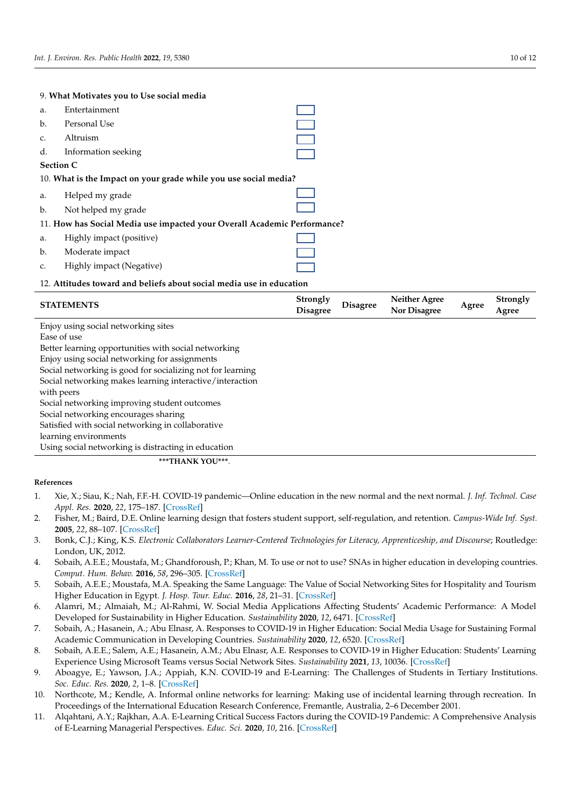## 9. What Motivates you to Use social media

| a.              | Entertainment                                                            |  |
|-----------------|--------------------------------------------------------------------------|--|
| b.              | Personal Use                                                             |  |
| $\mathcal{C}$ . | Altruism                                                                 |  |
| d.              | Information seeking                                                      |  |
|                 | <b>Section C</b>                                                         |  |
|                 | 10. What is the Impact on your grade while you use social media?         |  |
| a.              | Helped my grade                                                          |  |
| b.              | Not helped my grade                                                      |  |
|                 | 11. How has Social Media use impacted your Overall Academic Performance? |  |
| a.              | Highly impact (positive)                                                 |  |
| b.              | Moderate impact                                                          |  |
| c.              | Highly impact (Negative)                                                 |  |
|                 |                                                                          |  |

### 12. Attitudes toward and beliefs about social media use in educa 12. Attitudes toward and beliefs about social media use in education

| <b>STATEMENTS</b>                                                      | Strongly<br><b>Disagree</b> | <b>Disagree</b> | <b>Neither Agree</b><br><b>Nor Disagree</b> | Agree | <b>Strongly</b><br>Agree |
|------------------------------------------------------------------------|-----------------------------|-----------------|---------------------------------------------|-------|--------------------------|
| Enjoy using social networking sites                                    |                             |                 |                                             |       |                          |
| Ease of use                                                            |                             |                 |                                             |       |                          |
| Better learning opportunities with social networking                   |                             |                 |                                             |       |                          |
| Enjoy using social networking for assignments                          |                             |                 |                                             |       |                          |
| Social networking is good for socializing not for learning             |                             |                 |                                             |       |                          |
| Social networking makes learning interactive/interaction<br>with peers |                             |                 |                                             |       |                          |
| Social networking improving student outcomes                           |                             |                 |                                             |       |                          |
| Social networking encourages sharing                                   |                             |                 |                                             |       |                          |
| Satisfied with social networking in collaborative                      |                             |                 |                                             |       |                          |
| learning environments                                                  |                             |                 |                                             |       |                          |
| Using social networking is distracting in education                    |                             |                 |                                             |       |                          |

#### 5. Sobaih, A.E.E.; Moustafa, M.A. Speaking the Same Language: The Value of Social Networking Sites for Hospitality and Tourism  $Rafarances$ **References** 3. Bonk, C.J.; King, K.S. *Electronic Collaborators Learner-Centered Technologies for Literacy, Apprenticeship, and Discourse*; Routledge: 1. Xie, X.; Siau, K.; Nah, F.F.-H. COVID-19 pandemic—Online education in the new normal and the next normal. *J. Inf. Technol.*   $U(s)$ References

- <span id="page-9-0"></span>Xie, X.; Siau, K.; Nah, F.F.-H. COVID-19 pandemic—Online education in the new normal and the next normal *Appl. Res.* 2020, 22, 175–187. [CrossRef] 1. Xie, X.; Siau, K.; Nah, F.F.-H. COVID-19 pandemic—Online education in the new normal and the next normal. J. Inf. Technol. Ca 1. Xie, X.; Siau, K.; Nah, F.F.-H. COVID-19 pandemic—Online education in the new normal and the next normal. J. Inf. Technol. Case **\*\*\*THANK YOU\*\*\***. Using social networking is distracting in education *Appl. Res.* **2020**, *22*, 175–187. [CrossRef]
- <span id="page-9-1"></span>*Appl. Nes. 2020, 22, 175*–107. [CrossNer]<br>Fisher, M.; Baird, D.E. Online learning design that fosters student support, self-regulation, and retention. *Ca* **2005**, 22, 88–107. [CrossRef] 2. Fisher, M.; Baird, D.E. Online learning design that fosters student support, self-regulation, and retention. Campus-Wide Inf. Sy 2. Fisher, M.; Baird, D.E. Online learning design that fosters student support, self-regulation, and retention. Campus-Wide Inf. Sy  $2005.22.88 - 107$  [CrossRef] pandemic education in the new normal and the next normal and the next normal. **J.** Inf. Technol. **J. Inf. Technol.** 2. Fisher, M.; Baird, D.E. Online learning design that fosters student support, self-regulation, and retention. *Campus-Wide Inf. Syst.*
- <span id="page-9-2"></span>2003, 22, 60–107. [CrossRer]<br>Bonk, C.J.; King, K.S. Electronic Collaborators Learner-Centered Technologies for Literacy, Apprenticeship, and Discourse; Ro 3. Bonk, C.J.; King, K.S. Electronic Collaborators Learner-Centered Technologies for Literacy, Apprenticeship, and Discourse; Routled;  $\mu$  London, UK, 2012. 3. Bonk, C.J.; King, K.S. Electronic Collaborators Learner-Centered Technologies for Literacy, Apprenticeship, and Discourse; Routledge: 2. Fisher, M.; Baird, D.E. Online learning design that fosters student support, self-regulation, and retention. *Campus-Wide Inf. Syst.*
- <span id="page-9-3"></span>London, UN, 2012.<br>4. Sobaih, A.E.E.; Moustafa, M.; Ghandforoush, P.; Khan, M. To use or not to use? SNAs in higher education in developing countriour. Comput. Hum. Behav. 2016, 58, 296–305. [CrossRef] 4. Sobaih, A.E.E.; Moustafa, M.; Ghandforoush, P.; Khan, M. To use or not to use? SNAs in higher education in developing countries.
- <span id="page-9-4"></span>Sobaih, A.E.E.; Moustafa, M.A. Speaking the Same Language: The Value of Social Networking Sites for Hospitality and T Comput. Hum. Benuo. 2016, 36, 290–303. [CrossRef]<br>5. Sobaih, A.E.E.; Moustafa, M.A. Speaking the Same Language: The Value of Social Networking Sites for Hospitality and Touris Higher Education in Egypt. J. Hosp. Tour. Educ. 2016, 28, 21-31. [\[CrossRef\]](http://doi.org/10.1080/10963758.2015.1127169) **2005**, *22*, 88–107. https://doi.org/10.1108/10650740510587100. 5. Sobaih, A.E.E.; Moustafa, M.A. Speaking the Same Language: The Value of Social Networking Sites for Hospitality and Tourism
- <span id="page-9-5"></span>6. Alamri, M.; Almaiah, M.; Al-Rahmi, W. Social Media Applications Affecting Students' Academic Performance: A Model Developed for Sustainability in Higher Education. Sustainability 2020, 12, 6471. [\[CrossRef\]](http://doi.org/10.3390/su12166471)
- <span id="page-9-10"></span>7. Sobaih, A.; Hasanein, A.; Abu Elnasr, A. Responses to COVID-19 in Higher Education: Social Media Usage for Sustaining Formal Academic Communication in Developing Countries. Sustainability 2020, 12, 6520. [CrossRef]
- <span id="page-9-6"></span>8. Sobaih, A.E.E.; Salem, A.E.; Hasanein, A.M.; Abu Elnasr, A.E. Responses to COVID-19 in Higher Education: Students' Learning Experience Using Microsoft Teams versus Social Network Sites. Sustainability 2021, 13, 10036. [CrossRef]
- <span id="page-9-9"></span><span id="page-9-8"></span><span id="page-9-7"></span>9. Aboagye, E.; Yawson, J.A.; Appiah, K.N. COVID-19 and E-Learning: The Challenges of Students in Tertiary Institutions. mal Academic Communicatio[n in Deve](http://doi.org/10.37256/ser.212021422)loping Countries. *Sustainability* **2020**, *12*, 6520. https://doi.org/10.3390/su12166520. *Soc. Educ. Res.* **2020**, *2*, 1–8. [CrossRef]  $\frac{500}{100}$ , Eulic, Res. 2020,  $\frac{1}{2}$ , 1–6. [CrossRef]
	- 10. Northcote, M.; Kendle, A. Informal online networks for learning: Making use of incidental learning through recreation. In Proceedings of the International Education Research Conference, Fremantle, Australia, 2–6 December 2001.
	- 11. Alqahtani, A.Y.; Rajkhan, A.A. E-Learning Critical Success Factors during the COVID-19 Pandemic: A Comprehensive Analysis of E-Learning Managerial Perspectives. *Educ. Sci.* **2020**, *10*, 216. [\[CrossRef\]](http://doi.org/10.3390/educsci10090216)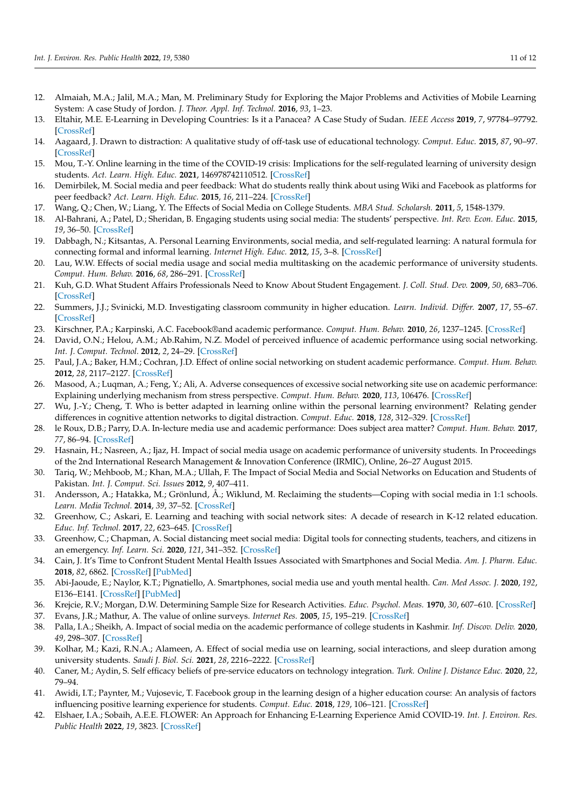- <span id="page-10-0"></span>12. Almaiah, M.A.; Jalil, M.A.; Man, M. Preliminary Study for Exploring the Major Problems and Activities of Mobile Learning System: A case Study of Jordon. *J. Theor. Appl. Inf. Technol.* **2016**, *93*, 1–23.
- <span id="page-10-1"></span>13. Eltahir, M.E. E-Learning in Developing Countries: Is it a Panacea? A Case Study of Sudan. *IEEE Access* **2019**, *7*, 97784–97792. [\[CrossRef\]](http://doi.org/10.1109/ACCESS.2019.2930411)
- <span id="page-10-2"></span>14. Aagaard, J. Drawn to distraction: A qualitative study of off-task use of educational technology. *Comput. Educ.* **2015**, *87*, 90–97. [\[CrossRef\]](http://doi.org/10.1016/j.compedu.2015.03.010)
- <span id="page-10-3"></span>15. Mou, T.-Y. Online learning in the time of the COVID-19 crisis: Implications for the self-regulated learning of university design students. *Act. Learn. High. Educ.* **2021**, 146978742110512. [\[CrossRef\]](http://doi.org/10.1177/14697874211051226)
- <span id="page-10-4"></span>16. Demirbilek, M. Social media and peer feedback: What do students really think about using Wiki and Facebook as platforms for peer feedback? *Act. Learn. High. Educ.* **2015**, *16*, 211–224. [\[CrossRef\]](http://doi.org/10.1177/1469787415589530)
- <span id="page-10-5"></span>17. Wang, Q.; Chen, W.; Liang, Y. The Effects of Social Media on College Students. *MBA Stud. Scholarsh.* **2011**, *5*, 1548-1379.
- <span id="page-10-6"></span>18. Al-Bahrani, A.; Patel, D.; Sheridan, B. Engaging students using social media: The students' perspective. *Int. Rev. Econ. Educ.* **2015**, *19*, 36–50. [\[CrossRef\]](http://doi.org/10.1016/j.iree.2015.06.001)
- <span id="page-10-7"></span>19. Dabbagh, N.; Kitsantas, A. Personal Learning Environments, social media, and self-regulated learning: A natural formula for connecting formal and informal learning. *Internet High. Educ.* **2012**, *15*, 3–8. [\[CrossRef\]](http://doi.org/10.1016/j.iheduc.2011.06.002)
- <span id="page-10-9"></span>20. Lau, W.W. Effects of social media usage and social media multitasking on the academic performance of university students. *Comput. Hum. Behav.* **2016**, *68*, 286–291. [\[CrossRef\]](http://doi.org/10.1016/j.chb.2016.11.043)
- <span id="page-10-8"></span>21. Kuh, G.D. What Student Affairs Professionals Need to Know About Student Engagement. *J. Coll. Stud. Dev.* **2009**, *50*, 683–706. [\[CrossRef\]](http://doi.org/10.1353/csd.0.0099)
- <span id="page-10-10"></span>22. Summers, J.J.; Svinicki, M.D. Investigating classroom community in higher education. *Learn. Individ. Differ.* **2007**, *17*, 55–67. [\[CrossRef\]](http://doi.org/10.1016/j.lindif.2007.01.006)
- 23. Kirschner, P.A.; Karpinski, A.C. Facebook®and academic performance. *Comput. Hum. Behav.* **2010**, *26*, 1237–1245. [\[CrossRef\]](http://doi.org/10.1016/j.chb.2010.03.024)
- 24. David, O.N.; Helou, A.M.; Ab.Rahim, N.Z. Model of perceived influence of academic performance using social networking. *Int. J. Comput. Technol.* **2012**, *2*, 24–29. [\[CrossRef\]](http://doi.org/10.24297/ijct.v2i1.2612)
- <span id="page-10-15"></span>25. Paul, J.A.; Baker, H.M.; Cochran, J.D. Effect of online social networking on student academic performance. *Comput. Hum. Behav.* **2012**, *28*, 2117–2127. [\[CrossRef\]](http://doi.org/10.1016/j.chb.2012.06.016)
- 26. Masood, A.; Luqman, A.; Feng, Y.; Ali, A. Adverse consequences of excessive social networking site use on academic performance: Explaining underlying mechanism from stress perspective. *Comput. Hum. Behav.* **2020**, *113*, 106476. [\[CrossRef\]](http://doi.org/10.1016/j.chb.2020.106476)
- <span id="page-10-11"></span>27. Wu, J.-Y.; Cheng, T. Who is better adapted in learning online within the personal learning environment? Relating gender differences in cognitive attention networks to digital distraction. *Comput. Educ.* **2018**, *128*, 312–329. [\[CrossRef\]](http://doi.org/10.1016/j.compedu.2018.08.016)
- <span id="page-10-12"></span>28. le Roux, D.B.; Parry, D.A. In-lecture media use and academic performance: Does subject area matter? *Comput. Hum. Behav.* **2017**, *77*, 86–94. [\[CrossRef\]](http://doi.org/10.1016/j.chb.2017.08.030)
- <span id="page-10-13"></span>29. Hasnain, H.; Nasreen, A.; Ijaz, H. Impact of social media usage on academic performance of university students. In Proceedings of the 2nd International Research Management & Innovation Conference (IRMIC), Online, 26–27 August 2015.
- <span id="page-10-14"></span>30. Tariq, W.; Mehboob, M.; Khan, M.A.; Ullah, F. The Impact of Social Media and Social Networks on Education and Students of Pakistan. *Int. J. Comput. Sci. Issues* **2012**, *9*, 407–411.
- <span id="page-10-16"></span>31. Andersson, A.; Hatakka, M.; Grönlund, Å.; Wiklund, M. Reclaiming the students—Coping with social media in 1:1 schools. *Learn. Media Technol.* **2014**, *39*, 37–52. [\[CrossRef\]](http://doi.org/10.1080/17439884.2012.756518)
- <span id="page-10-17"></span>32. Greenhow, C.; Askari, E. Learning and teaching with social network sites: A decade of research in K-12 related education. *Educ. Inf. Technol.* **2017**, *22*, 623–645. [\[CrossRef\]](http://doi.org/10.1007/s10639-015-9446-9)
- <span id="page-10-18"></span>33. Greenhow, C.; Chapman, A. Social distancing meet social media: Digital tools for connecting students, teachers, and citizens in an emergency. *Inf. Learn. Sci.* **2020**, *121*, 341–352. [\[CrossRef\]](http://doi.org/10.1108/ILS-04-2020-0134)
- <span id="page-10-19"></span>34. Cain, J. It's Time to Confront Student Mental Health Issues Associated with Smartphones and Social Media. *Am. J. Pharm. Educ.* **2018**, *82*, 6862. [\[CrossRef\]](http://doi.org/10.5688/ajpe6862) [\[PubMed\]](http://www.ncbi.nlm.nih.gov/pubmed/30323396)
- <span id="page-10-20"></span>35. Abi-Jaoude, E.; Naylor, K.T.; Pignatiello, A. Smartphones, social media use and youth mental health. *Can. Med Assoc. J.* **2020**, *192*, E136–E141. [\[CrossRef\]](http://doi.org/10.1503/cmaj.190434) [\[PubMed\]](http://www.ncbi.nlm.nih.gov/pubmed/32041697)
- <span id="page-10-21"></span>36. Krejcie, R.V.; Morgan, D.W. Determining Sample Size for Research Activities. *Educ. Psychol. Meas.* **1970**, *30*, 607–610. [\[CrossRef\]](http://doi.org/10.1177/001316447003000308)
- <span id="page-10-22"></span>37. Evans, J.R.; Mathur, A. The value of online surveys. *Internet Res.* **2005**, *15*, 195–219. [\[CrossRef\]](http://doi.org/10.1108/10662240510590360)
- <span id="page-10-23"></span>38. Palla, I.A.; Sheikh, A. Impact of social media on the academic performance of college students in Kashmir. *Inf. Discov. Deliv.* **2020**, *49*, 298–307. [\[CrossRef\]](http://doi.org/10.1108/IDD-06-2020-0061)
- <span id="page-10-24"></span>39. Kolhar, M.; Kazi, R.N.A.; Alameen, A. Effect of social media use on learning, social interactions, and sleep duration among university students. *Saudi J. Biol. Sci.* **2021**, *28*, 2216–2222. [\[CrossRef\]](http://doi.org/10.1016/j.sjbs.2021.01.010)
- <span id="page-10-25"></span>40. Caner, M.; Aydin, S. Self efficacy beliefs of pre-service educators on technology integration. *Turk. Online J. Distance Educ.* **2020**, *22*, 79–94.
- <span id="page-10-26"></span>41. Awidi, I.T.; Paynter, M.; Vujosevic, T. Facebook group in the learning design of a higher education course: An analysis of factors influencing positive learning experience for students. *Comput. Educ.* **2018**, *129*, 106–121. [\[CrossRef\]](http://doi.org/10.1016/j.compedu.2018.10.018)
- <span id="page-10-27"></span>42. Elshaer, I.A.; Sobaih, A.E.E. FLOWER: An Approach for Enhancing E-Learning Experience Amid COVID-19. *Int. J. Environ. Res. Public Health* **2022**, *19*, 3823. [\[CrossRef\]](http://doi.org/10.3390/ijerph19073823)